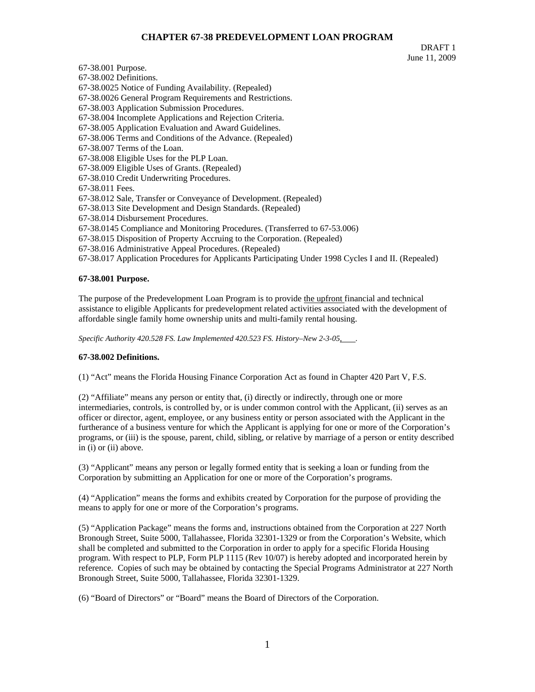# **CHAPTER 67-38 PREDEVELOPMENT LOAN PROGRAM**

DRAFT 1 June 11, 2009

67-38.001 Purpose. 67-38.002 Definitions. 67-38.0025 Notice of Funding Availability. (Repealed) 67-38.0026 General Program Requirements and Restrictions. 67-38.003 Application Submission Procedures. 67-38.004 Incomplete Applications and Rejection Criteria. 67-38.005 Application Evaluation and Award Guidelines. 67-38.006 Terms and Conditions of the Advance. (Repealed) 67-38.007 Terms of the Loan. 67-38.008 Eligible Uses for the PLP Loan. 67-38.009 Eligible Uses of Grants. (Repealed) 67-38.010 Credit Underwriting Procedures. 67-38.011 Fees. 67-38.012 Sale, Transfer or Conveyance of Development. (Repealed) 67-38.013 Site Development and Design Standards. (Repealed) 67-38.014 Disbursement Procedures. 67-38.0145 Compliance and Monitoring Procedures. (Transferred to 67-53.006) 67-38.015 Disposition of Property Accruing to the Corporation. (Repealed) 67-38.016 Administrative Appeal Procedures. (Repealed) 67-38.017 Application Procedures for Applicants Participating Under 1998 Cycles I and II. (Repealed)

### **67-38.001 Purpose.**

The purpose of the Predevelopment Loan Program is to provide the upfront financial and technical assistance to eligible Applicants for predevelopment related activities associated with the development of affordable single family home ownership units and multi-family rental housing.

*Specific Authority 420.528 FS. Law Implemented 420.523 FS. History–New 2-3-05, .* 

#### **67-38.002 Definitions.**

(1) "Act" means the Florida Housing Finance Corporation Act as found in Chapter 420 Part V, F.S.

(2) "Affiliate" means any person or entity that, (i) directly or indirectly, through one or more intermediaries, controls, is controlled by, or is under common control with the Applicant, (ii) serves as an officer or director, agent, employee, or any business entity or person associated with the Applicant in the furtherance of a business venture for which the Applicant is applying for one or more of the Corporation's programs, or (iii) is the spouse, parent, child, sibling, or relative by marriage of a person or entity described in (i) or (ii) above.

(3) "Applicant" means any person or legally formed entity that is seeking a loan or funding from the Corporation by submitting an Application for one or more of the Corporation's programs.

(4) "Application" means the forms and exhibits created by Corporation for the purpose of providing the means to apply for one or more of the Corporation's programs.

(5) "Application Package" means the forms and, instructions obtained from the Corporation at 227 North Bronough Street, Suite 5000, Tallahassee, Florida 32301-1329 or from the Corporation's Website, which shall be completed and submitted to the Corporation in order to apply for a specific Florida Housing program. With respect to PLP, Form PLP 1115 (Rev 10/07) is hereby adopted and incorporated herein by reference. Copies of such may be obtained by contacting the Special Programs Administrator at 227 North Bronough Street, Suite 5000, Tallahassee, Florida 32301-1329.

(6) "Board of Directors" or "Board" means the Board of Directors of the Corporation.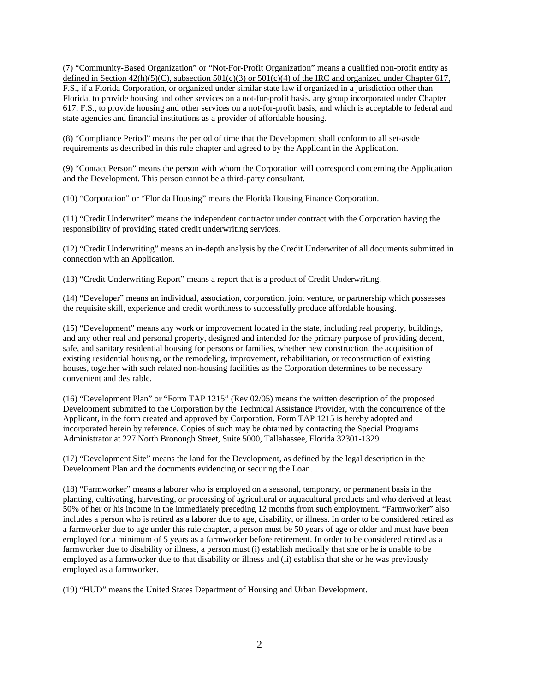(7) "Community-Based Organization" or "Not-For-Profit Organization" means a qualified non-profit entity as defined in Section 42(h)(5)(C), subsection 501(c)(3) or 501(c)(4) of the IRC and organized under Chapter 617, F.S., if a Florida Corporation, or organized under similar state law if organized in a jurisdiction other than Florida, to provide housing and other services on a not-for-profit basis. any group incorporated under Chapter 617, F.S., to provide housing and other services on a not-for-profit basis, and which is acceptable to federal and state agencies and financial institutions as a provider of affordable housing.

(8) "Compliance Period" means the period of time that the Development shall conform to all set-aside requirements as described in this rule chapter and agreed to by the Applicant in the Application.

(9) "Contact Person" means the person with whom the Corporation will correspond concerning the Application and the Development. This person cannot be a third-party consultant.

(10) "Corporation" or "Florida Housing" means the Florida Housing Finance Corporation.

(11) "Credit Underwriter" means the independent contractor under contract with the Corporation having the responsibility of providing stated credit underwriting services.

(12) "Credit Underwriting" means an in-depth analysis by the Credit Underwriter of all documents submitted in connection with an Application.

(13) "Credit Underwriting Report" means a report that is a product of Credit Underwriting.

(14) "Developer" means an individual, association, corporation, joint venture, or partnership which possesses the requisite skill, experience and credit worthiness to successfully produce affordable housing.

(15) "Development" means any work or improvement located in the state, including real property, buildings, and any other real and personal property, designed and intended for the primary purpose of providing decent, safe, and sanitary residential housing for persons or families, whether new construction, the acquisition of existing residential housing, or the remodeling, improvement, rehabilitation, or reconstruction of existing houses, together with such related non-housing facilities as the Corporation determines to be necessary convenient and desirable.

(16) "Development Plan" or "Form TAP 1215" (Rev 02/05) means the written description of the proposed Development submitted to the Corporation by the Technical Assistance Provider, with the concurrence of the Applicant, in the form created and approved by Corporation. Form TAP 1215 is hereby adopted and incorporated herein by reference. Copies of such may be obtained by contacting the Special Programs Administrator at 227 North Bronough Street, Suite 5000, Tallahassee, Florida 32301-1329.

(17) "Development Site" means the land for the Development, as defined by the legal description in the Development Plan and the documents evidencing or securing the Loan.

(18) "Farmworker" means a laborer who is employed on a seasonal, temporary, or permanent basis in the planting, cultivating, harvesting, or processing of agricultural or aquacultural products and who derived at least 50% of her or his income in the immediately preceding 12 months from such employment. "Farmworker" also includes a person who is retired as a laborer due to age, disability, or illness. In order to be considered retired as a farmworker due to age under this rule chapter, a person must be 50 years of age or older and must have been employed for a minimum of 5 years as a farmworker before retirement. In order to be considered retired as a farmworker due to disability or illness, a person must (i) establish medically that she or he is unable to be employed as a farmworker due to that disability or illness and (ii) establish that she or he was previously employed as a farmworker.

(19) "HUD" means the United States Department of Housing and Urban Development.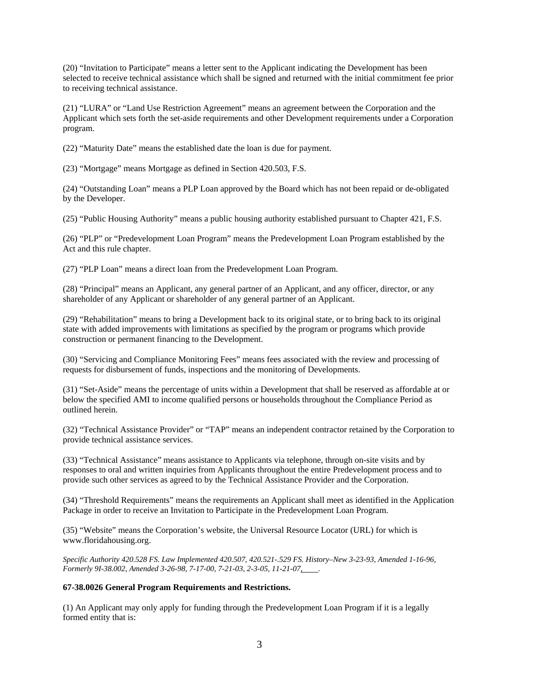(20) "Invitation to Participate" means a letter sent to the Applicant indicating the Development has been selected to receive technical assistance which shall be signed and returned with the initial commitment fee prior to receiving technical assistance.

(21) "LURA" or "Land Use Restriction Agreement" means an agreement between the Corporation and the Applicant which sets forth the set-aside requirements and other Development requirements under a Corporation program.

(22) "Maturity Date" means the established date the loan is due for payment.

(23) "Mortgage" means Mortgage as defined in Section 420.503, F.S.

(24) "Outstanding Loan" means a PLP Loan approved by the Board which has not been repaid or de-obligated by the Developer.

(25) "Public Housing Authority" means a public housing authority established pursuant to Chapter 421, F.S.

(26) "PLP" or "Predevelopment Loan Program" means the Predevelopment Loan Program established by the Act and this rule chapter.

(27) "PLP Loan" means a direct loan from the Predevelopment Loan Program.

(28) "Principal" means an Applicant, any general partner of an Applicant, and any officer, director, or any shareholder of any Applicant or shareholder of any general partner of an Applicant.

(29) "Rehabilitation" means to bring a Development back to its original state, or to bring back to its original state with added improvements with limitations as specified by the program or programs which provide construction or permanent financing to the Development.

(30) "Servicing and Compliance Monitoring Fees" means fees associated with the review and processing of requests for disbursement of funds, inspections and the monitoring of Developments.

(31) "Set-Aside" means the percentage of units within a Development that shall be reserved as affordable at or below the specified AMI to income qualified persons or households throughout the Compliance Period as outlined herein.

(32) "Technical Assistance Provider" or "TAP" means an independent contractor retained by the Corporation to provide technical assistance services.

(33) "Technical Assistance" means assistance to Applicants via telephone, through on-site visits and by responses to oral and written inquiries from Applicants throughout the entire Predevelopment process and to provide such other services as agreed to by the Technical Assistance Provider and the Corporation.

(34) "Threshold Requirements" means the requirements an Applicant shall meet as identified in the Application Package in order to receive an Invitation to Participate in the Predevelopment Loan Program.

(35) "Website" means the Corporation's website, the Universal Resource Locator (URL) for which is www.floridahousing.org.

*Specific Authority 420.528 FS. Law Implemented 420.507, 420.521-.529 FS. History–New 3-23-93, Amended 1-16-96, Formerly 9I-38.002, Amended 3-26-98, 7-17-00, 7-21-03, 2-3-05, 11-21-07*.

#### **67-38.0026 General Program Requirements and Restrictions.**

(1) An Applicant may only apply for funding through the Predevelopment Loan Program if it is a legally formed entity that is: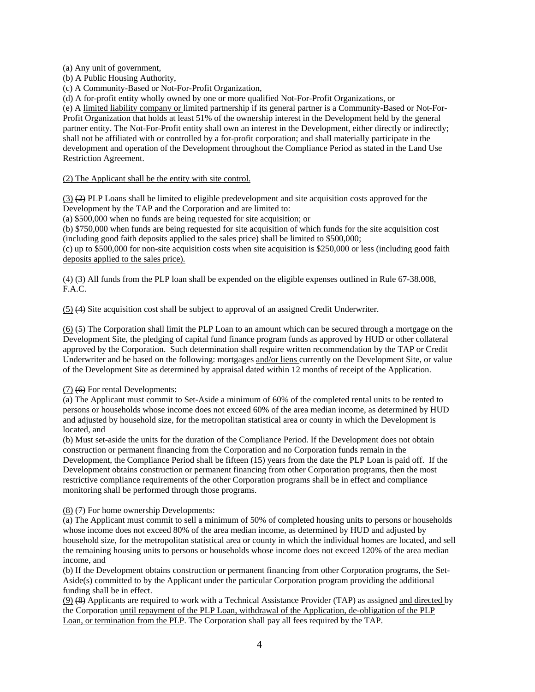(a) Any unit of government,

(b) A Public Housing Authority,

(c) A Community-Based or Not-For-Profit Organization,

(d) A for-profit entity wholly owned by one or more qualified Not-For-Profit Organizations, or

(e) A limited liability company or limited partnership if its general partner is a Community-Based or Not-For-Profit Organization that holds at least 51% of the ownership interest in the Development held by the general partner entity. The Not-For-Profit entity shall own an interest in the Development, either directly or indirectly; shall not be affiliated with or controlled by a for-profit corporation; and shall materially participate in the development and operation of the Development throughout the Compliance Period as stated in the Land Use Restriction Agreement.

(2) The Applicant shall be the entity with site control.

 $(3)$  (2) PLP Loans shall be limited to eligible predevelopment and site acquisition costs approved for the Development by the TAP and the Corporation and are limited to:

(a) \$500,000 when no funds are being requested for site acquisition; or

(b) \$750,000 when funds are being requested for site acquisition of which funds for the site acquisition cost (including good faith deposits applied to the sales price) shall be limited to \$500,000;

(c) up to \$500,000 for non-site acquisition costs when site acquisition is \$250,000 or less (including good faith deposits applied to the sales price).

(4) (3) All funds from the PLP loan shall be expended on the eligible expenses outlined in Rule 67-38.008, F.A.C.

(5) (4) Site acquisition cost shall be subject to approval of an assigned Credit Underwriter.

(6) (5) The Corporation shall limit the PLP Loan to an amount which can be secured through a mortgage on the Development Site, the pledging of capital fund finance program funds as approved by HUD or other collateral approved by the Corporation. Such determination shall require written recommendation by the TAP or Credit Underwriter and be based on the following: mortgages and/or liens currently on the Development Site, or value of the Development Site as determined by appraisal dated within 12 months of receipt of the Application.

# (7) (6) For rental Developments:

(a) The Applicant must commit to Set-Aside a minimum of 60% of the completed rental units to be rented to persons or households whose income does not exceed 60% of the area median income, as determined by HUD and adjusted by household size, for the metropolitan statistical area or county in which the Development is located, and

(b) Must set-aside the units for the duration of the Compliance Period. If the Development does not obtain construction or permanent financing from the Corporation and no Corporation funds remain in the Development, the Compliance Period shall be fifteen (15) years from the date the PLP Loan is paid off. If the Development obtains construction or permanent financing from other Corporation programs, then the most restrictive compliance requirements of the other Corporation programs shall be in effect and compliance monitoring shall be performed through those programs.

 $(8)$   $(7)$  For home ownership Developments:

(a) The Applicant must commit to sell a minimum of 50% of completed housing units to persons or households whose income does not exceed 80% of the area median income, as determined by HUD and adjusted by household size, for the metropolitan statistical area or county in which the individual homes are located, and sell the remaining housing units to persons or households whose income does not exceed 120% of the area median income, and

(b) If the Development obtains construction or permanent financing from other Corporation programs, the Set-Aside(s) committed to by the Applicant under the particular Corporation program providing the additional funding shall be in effect.

(9) (8) Applicants are required to work with a Technical Assistance Provider (TAP) as assigned and directed by the Corporation until repayment of the PLP Loan, withdrawal of the Application, de-obligation of the PLP Loan, or termination from the PLP. The Corporation shall pay all fees required by the TAP.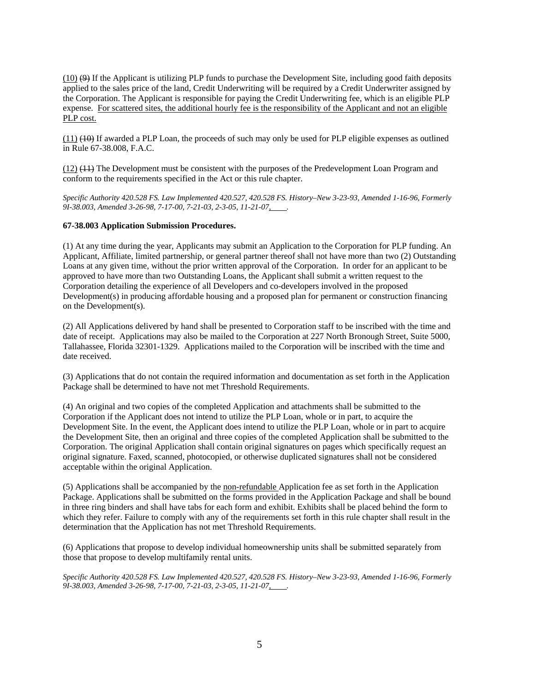$(10)$   $(9)$  If the Applicant is utilizing PLP funds to purchase the Development Site, including good faith deposits applied to the sales price of the land, Credit Underwriting will be required by a Credit Underwriter assigned by the Corporation. The Applicant is responsible for paying the Credit Underwriting fee, which is an eligible PLP expense. For scattered sites, the additional hourly fee is the responsibility of the Applicant and not an eligible PLP cost.

(11) (10) If awarded a PLP Loan, the proceeds of such may only be used for PLP eligible expenses as outlined in Rule 67-38.008, F.A.C.

(12) (11) The Development must be consistent with the purposes of the Predevelopment Loan Program and conform to the requirements specified in the Act or this rule chapter.

*Specific Authority 420.528 FS. Law Implemented 420.527, 420.528 FS. History–New 3-23-93, Amended 1-16-96, Formerly*  9I-38.003, Amended 3-26-98, 7-17-00, 7-21-03, 2-3-05, 11-21-07,

#### **67-38.003 Application Submission Procedures.**

(1) At any time during the year, Applicants may submit an Application to the Corporation for PLP funding. An Applicant, Affiliate, limited partnership, or general partner thereof shall not have more than two (2) Outstanding Loans at any given time, without the prior written approval of the Corporation. In order for an applicant to be approved to have more than two Outstanding Loans, the Applicant shall submit a written request to the Corporation detailing the experience of all Developers and co-developers involved in the proposed Development(s) in producing affordable housing and a proposed plan for permanent or construction financing on the Development(s).

(2) All Applications delivered by hand shall be presented to Corporation staff to be inscribed with the time and date of receipt. Applications may also be mailed to the Corporation at 227 North Bronough Street, Suite 5000, Tallahassee, Florida 32301-1329. Applications mailed to the Corporation will be inscribed with the time and date received.

(3) Applications that do not contain the required information and documentation as set forth in the Application Package shall be determined to have not met Threshold Requirements.

(4) An original and two copies of the completed Application and attachments shall be submitted to the Corporation if the Applicant does not intend to utilize the PLP Loan, whole or in part, to acquire the Development Site. In the event, the Applicant does intend to utilize the PLP Loan, whole or in part to acquire the Development Site, then an original and three copies of the completed Application shall be submitted to the Corporation. The original Application shall contain original signatures on pages which specifically request an original signature. Faxed, scanned, photocopied, or otherwise duplicated signatures shall not be considered acceptable within the original Application.

(5) Applications shall be accompanied by the non-refundable Application fee as set forth in the Application Package. Applications shall be submitted on the forms provided in the Application Package and shall be bound in three ring binders and shall have tabs for each form and exhibit. Exhibits shall be placed behind the form to which they refer. Failure to comply with any of the requirements set forth in this rule chapter shall result in the determination that the Application has not met Threshold Requirements.

(6) Applications that propose to develop individual homeownership units shall be submitted separately from those that propose to develop multifamily rental units.

*Specific Authority 420.528 FS. Law Implemented 420.527, 420.528 FS. History–New 3-23-93, Amended 1-16-96, Formerly 9I-38.003, Amended 3-26-98, 7-17-00, 7-21-03, 2-3-05, 11-21-07, .*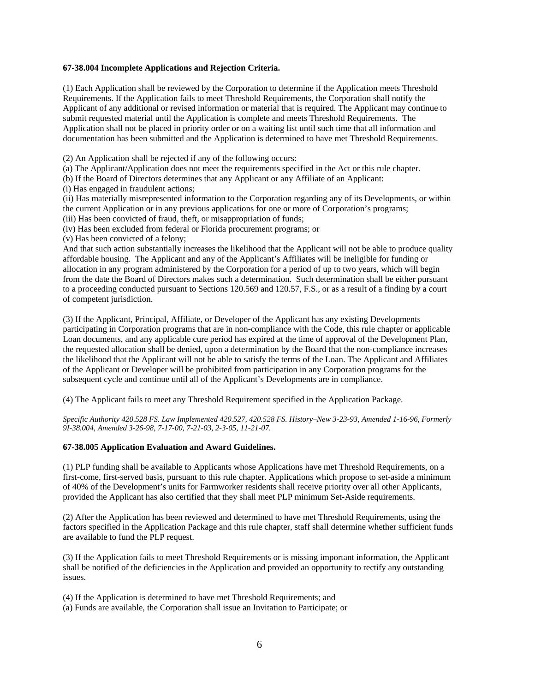### **67-38.004 Incomplete Applications and Rejection Criteria.**

(1) Each Application shall be reviewed by the Corporation to determine if the Application meets Threshold Requirements. If the Application fails to meet Threshold Requirements, the Corporation shall notify the Applicant of any additional or revised information or material that is required. The Applicant may continue to submit requested material until the Application is complete and meets Threshold Requirements. The Application shall not be placed in priority order or on a waiting list until such time that all information and documentation has been submitted and the Application is determined to have met Threshold Requirements.

(2) An Application shall be rejected if any of the following occurs:

(a) The Applicant/Application does not meet the requirements specified in the Act or this rule chapter.

(b) If the Board of Directors determines that any Applicant or any Affiliate of an Applicant:

(i) Has engaged in fraudulent actions;

(ii) Has materially misrepresented information to the Corporation regarding any of its Developments, or within the current Application or in any previous applications for one or more of Corporation's programs;

(iii) Has been convicted of fraud, theft, or misappropriation of funds;

(iv) Has been excluded from federal or Florida procurement programs; or (v) Has been convicted of a felony;

And that such action substantially increases the likelihood that the Applicant will not be able to produce quality affordable housing. The Applicant and any of the Applicant's Affiliates will be ineligible for funding or allocation in any program administered by the Corporation for a period of up to two years, which will begin from the date the Board of Directors makes such a determination. Such determination shall be either pursuant to a proceeding conducted pursuant to Sections 120.569 and 120.57, F.S., or as a result of a finding by a court of competent jurisdiction.

(3) If the Applicant, Principal, Affiliate, or Developer of the Applicant has any existing Developments participating in Corporation programs that are in non-compliance with the Code, this rule chapter or applicable Loan documents, and any applicable cure period has expired at the time of approval of the Development Plan, the requested allocation shall be denied, upon a determination by the Board that the non-compliance increases the likelihood that the Applicant will not be able to satisfy the terms of the Loan. The Applicant and Affiliates of the Applicant or Developer will be prohibited from participation in any Corporation programs for the subsequent cycle and continue until all of the Applicant's Developments are in compliance.

(4) The Applicant fails to meet any Threshold Requirement specified in the Application Package.

*Specific Authority 420.528 FS. Law Implemented 420.527, 420.528 FS. History–New 3-23-93, Amended 1-16-96, Formerly 9I-38.004, Amended 3-26-98, 7-17-00, 7-21-03, 2-3-05, 11-21-07.* 

# **67-38.005 Application Evaluation and Award Guidelines.**

(1) PLP funding shall be available to Applicants whose Applications have met Threshold Requirements, on a first-come, first-served basis, pursuant to this rule chapter. Applications which propose to set-aside a minimum of 40% of the Development's units for Farmworker residents shall receive priority over all other Applicants, provided the Applicant has also certified that they shall meet PLP minimum Set-Aside requirements.

(2) After the Application has been reviewed and determined to have met Threshold Requirements, using the factors specified in the Application Package and this rule chapter, staff shall determine whether sufficient funds are available to fund the PLP request.

(3) If the Application fails to meet Threshold Requirements or is missing important information, the Applicant shall be notified of the deficiencies in the Application and provided an opportunity to rectify any outstanding issues.

(4) If the Application is determined to have met Threshold Requirements; and

(a) Funds are available, the Corporation shall issue an Invitation to Participate; or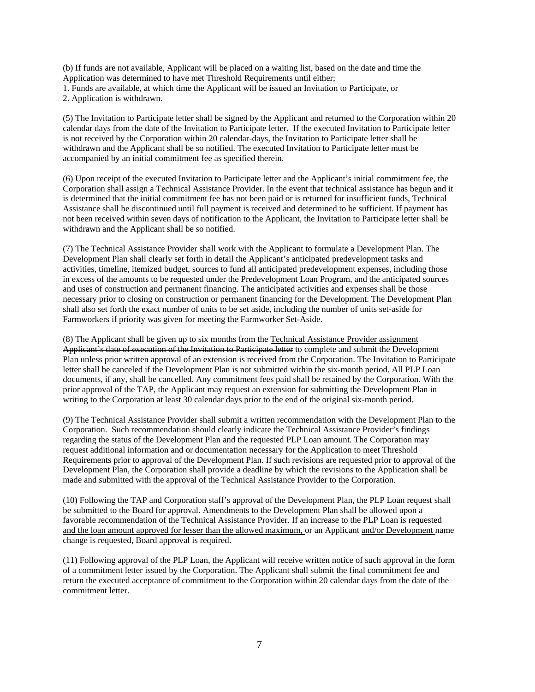(b) If funds are not available, Applicant will be placed on a waiting list, based on the date and time the Application was determined to have met Threshold Requirements until either;

1. Funds are available, at which time the Applicant will be issued an Invitation to Participate, or

2. Application is withdrawn.

(5) The Invitation to Participate letter shall be signed by the Applicant and returned to the Corporation within 20 calendar days from the date of the Invitation to Participate letter. If the executed Invitation to Participate letter is not received by the Corporation within 20 calendar-days, the Invitation to Participate letter shall be withdrawn and the Applicant shall be so notified. The executed Invitation to Participate letter must be accompanied by an initial commitment fee as specified therein.

(6) Upon receipt of the executed Invitation to Participate letter and the Applicant's initial commitment fee, the Corporation shall assign a Technical Assistance Provider. In the event that technical assistance has begun and it is determined that the initial commitment fee has not been paid or is returned for insufficient funds, Technical Assistance shall be discontinued until full payment is received and determined to be sufficient. If payment has not been received within seven days of notification to the Applicant, the Invitation to Participate letter shall be withdrawn and the Applicant shall be so notified.

(7) The Technical Assistance Provider shall work with the Applicant to formulate a Development Plan. The Development Plan shall clearly set forth in detail the Applicant's anticipated predevelopment tasks and activities, timeline, itemized budget, sources to fund all anticipated predevelopment expenses, including those in excess of the amounts to be requested under the Predevelopment Loan Program, and the anticipated sources and uses of construction and permanent financing. The anticipated activities and expenses shall be those necessary prior to closing on construction or permanent financing for the Development. The Development Plan shall also set forth the exact number of units to be set aside, including the number of units set-aside for Farmworkers if priority was given for meeting the Farmworker Set-Aside.

(8) The Applicant shall be given up to six months from the Technical Assistance Provider assignment Applicant's date of execution of the Invitation to Participate letter to complete and submit the Development Plan unless prior written approval of an extension is received from the Corporation. The Invitation to Participate letter shall be canceled if the Development Plan is not submitted within the six-month period. All PLP Loan documents, if any, shall be cancelled. Any commitment fees paid shall be retained by the Corporation. With the prior approval of the TAP, the Applicant may request an extension for submitting the Development Plan in writing to the Corporation at least 30 calendar days prior to the end of the original six-month period.

(9) The Technical Assistance Provider shall submit a written recommendation with the Development Plan to the Corporation. Such recommendation should clearly indicate the Technical Assistance Provider's findings regarding the status of the Development Plan and the requested PLP Loan amount. The Corporation may request additional information and or documentation necessary for the Application to meet Threshold Requirements prior to approval of the Development Plan. If such revisions are requested prior to approval of the Development Plan, the Corporation shall provide a deadline by which the revisions to the Application shall be made and submitted with the approval of the Technical Assistance Provider to the Corporation.

(10) Following the TAP and Corporation staff's approval of the Development Plan, the PLP Loan request shall be submitted to the Board for approval. Amendments to the Development Plan shall be allowed upon a favorable recommendation of the Technical Assistance Provider. If an increase to the PLP Loan is requested and the loan amount approved for lesser than the allowed maximum, or an Applicant and/or Development name change is requested, Board approval is required.

(11) Following approval of the PLP Loan, the Applicant will receive written notice of such approval in the form of a commitment letter issued by the Corporation. The Applicant shall submit the final commitment fee and return the executed acceptance of commitment to the Corporation within 20 calendar days from the date of the commitment letter.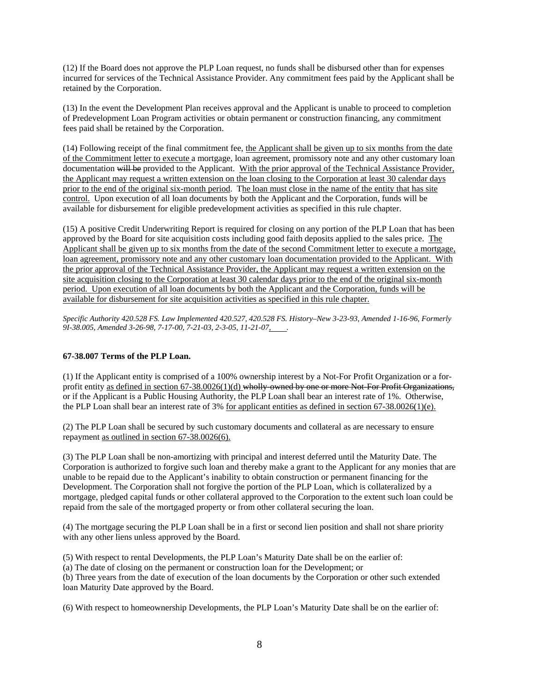(12) If the Board does not approve the PLP Loan request, no funds shall be disbursed other than for expenses incurred for services of the Technical Assistance Provider. Any commitment fees paid by the Applicant shall be retained by the Corporation.

(13) In the event the Development Plan receives approval and the Applicant is unable to proceed to completion of Predevelopment Loan Program activities or obtain permanent or construction financing, any commitment fees paid shall be retained by the Corporation.

(14) Following receipt of the final commitment fee, the Applicant shall be given up to six months from the date of the Commitment letter to execute a mortgage, loan agreement, promissory note and any other customary loan documentation will be provided to the Applicant. With the prior approval of the Technical Assistance Provider, the Applicant may request a written extension on the loan closing to the Corporation at least 30 calendar days prior to the end of the original six-month period. The loan must close in the name of the entity that has site control. Upon execution of all loan documents by both the Applicant and the Corporation, funds will be available for disbursement for eligible predevelopment activities as specified in this rule chapter.

(15) A positive Credit Underwriting Report is required for closing on any portion of the PLP Loan that has been approved by the Board for site acquisition costs including good faith deposits applied to the sales price. The Applicant shall be given up to six months from the date of the second Commitment letter to execute a mortgage, loan agreement, promissory note and any other customary loan documentation provided to the Applicant. With the prior approval of the Technical Assistance Provider, the Applicant may request a written extension on the site acquisition closing to the Corporation at least 30 calendar days prior to the end of the original six-month period. Upon execution of all loan documents by both the Applicant and the Corporation, funds will be available for disbursement for site acquisition activities as specified in this rule chapter.

*Specific Authority 420.528 FS. Law Implemented 420.527, 420.528 FS. History–New 3-23-93, Amended 1-16-96, Formerly*  9I-38.005, Amended 3-26-98, 7-17-00, 7-21-03, 2-3-05, 11-21-07,

# **67-38.007 Terms of the PLP Loan.**

(1) If the Applicant entity is comprised of a 100% ownership interest by a Not-For Profit Organization or a forprofit entity as defined in section 67-38.0026(1)(d) wholly-owned by one or more Not-For Profit Organizations, or if the Applicant is a Public Housing Authority, the PLP Loan shall bear an interest rate of 1%. Otherwise, the PLP Loan shall bear an interest rate of 3% for applicant entities as defined in section 67-38.0026(1)(e).

(2) The PLP Loan shall be secured by such customary documents and collateral as are necessary to ensure repayment as outlined in section 67-38.0026(6).

(3) The PLP Loan shall be non-amortizing with principal and interest deferred until the Maturity Date. The Corporation is authorized to forgive such loan and thereby make a grant to the Applicant for any monies that are unable to be repaid due to the Applicant's inability to obtain construction or permanent financing for the Development. The Corporation shall not forgive the portion of the PLP Loan, which is collateralized by a mortgage, pledged capital funds or other collateral approved to the Corporation to the extent such loan could be repaid from the sale of the mortgaged property or from other collateral securing the loan.

(4) The mortgage securing the PLP Loan shall be in a first or second lien position and shall not share priority with any other liens unless approved by the Board.

(5) With respect to rental Developments, the PLP Loan's Maturity Date shall be on the earlier of:

(a) The date of closing on the permanent or construction loan for the Development; or

(b) Three years from the date of execution of the loan documents by the Corporation or other such extended loan Maturity Date approved by the Board.

(6) With respect to homeownership Developments, the PLP Loan's Maturity Date shall be on the earlier of: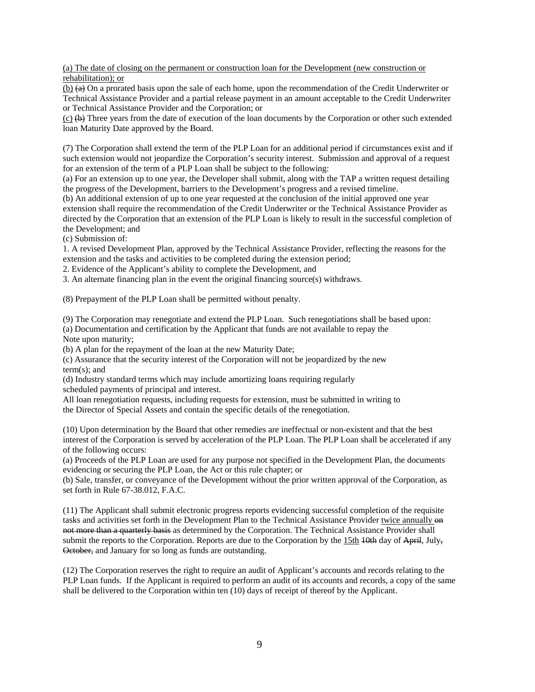(a) The date of closing on the permanent or construction loan for the Development (new construction or rehabilitation); or

(b) (a) On a prorated basis upon the sale of each home, upon the recommendation of the Credit Underwriter or Technical Assistance Provider and a partial release payment in an amount acceptable to the Credit Underwriter or Technical Assistance Provider and the Corporation; or

(c) (b) Three years from the date of execution of the loan documents by the Corporation or other such extended loan Maturity Date approved by the Board.

(7) The Corporation shall extend the term of the PLP Loan for an additional period if circumstances exist and if such extension would not jeopardize the Corporation's security interest. Submission and approval of a request for an extension of the term of a PLP Loan shall be subject to the following:

(a) For an extension up to one year, the Developer shall submit, along with the TAP a written request detailing the progress of the Development, barriers to the Development's progress and a revised timeline.

(b) An additional extension of up to one year requested at the conclusion of the initial approved one year extension shall require the recommendation of the Credit Underwriter or the Technical Assistance Provider as directed by the Corporation that an extension of the PLP Loan is likely to result in the successful completion of the Development; and

(c) Submission of:

1. A revised Development Plan, approved by the Technical Assistance Provider, reflecting the reasons for the extension and the tasks and activities to be completed during the extension period;

2. Evidence of the Applicant's ability to complete the Development, and

3. An alternate financing plan in the event the original financing source(s) withdraws.

(8) Prepayment of the PLP Loan shall be permitted without penalty.

(9) The Corporation may renegotiate and extend the PLP Loan. Such renegotiations shall be based upon: (a) Documentation and certification by the Applicant that funds are not available to repay the Note upon maturity;

(b) A plan for the repayment of the loan at the new Maturity Date;

(c) Assurance that the security interest of the Corporation will not be jeopardized by the new term(s); and

(d) Industry standard terms which may include amortizing loans requiring regularly scheduled payments of principal and interest.

All loan renegotiation requests, including requests for extension, must be submitted in writing to the Director of Special Assets and contain the specific details of the renegotiation.

(10) Upon determination by the Board that other remedies are ineffectual or non-existent and that the best interest of the Corporation is served by acceleration of the PLP Loan. The PLP Loan shall be accelerated if any of the following occurs:

(a) Proceeds of the PLP Loan are used for any purpose not specified in the Development Plan, the documents evidencing or securing the PLP Loan, the Act or this rule chapter; or

(b) Sale, transfer, or conveyance of the Development without the prior written approval of the Corporation, as set forth in Rule 67-38.012, F.A.C.

(11) The Applicant shall submit electronic progress reports evidencing successful completion of the requisite tasks and activities set forth in the Development Plan to the Technical Assistance Provider twice annually  $\Theta$ not more than a quarterly basis as determined by the Corporation. The Technical Assistance Provider shall submit the reports to the Corporation. Reports are due to the Corporation by the 15th  $\frac{10 \text{th}}{10 \text{th}}$  day of April, July, October, and January for so long as funds are outstanding.

(12) The Corporation reserves the right to require an audit of Applicant's accounts and records relating to the PLP Loan funds. If the Applicant is required to perform an audit of its accounts and records, a copy of the same shall be delivered to the Corporation within ten (10) days of receipt of thereof by the Applicant.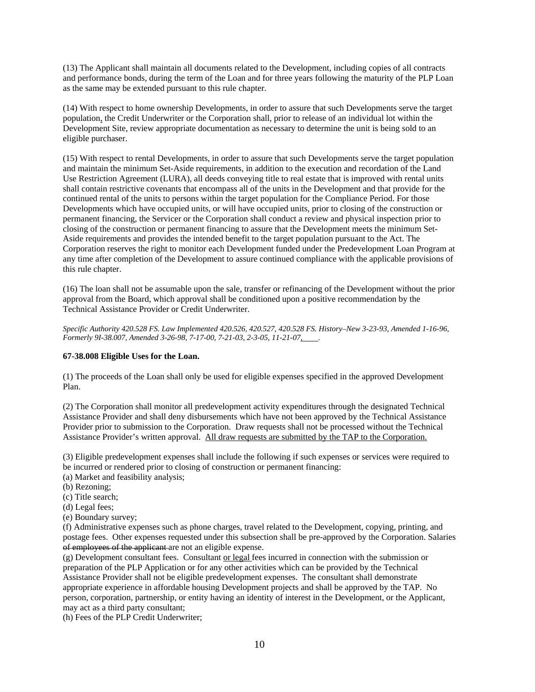(13) The Applicant shall maintain all documents related to the Development, including copies of all contracts and performance bonds, during the term of the Loan and for three years following the maturity of the PLP Loan as the same may be extended pursuant to this rule chapter.

(14) With respect to home ownership Developments, in order to assure that such Developments serve the target population, the Credit Underwriter or the Corporation shall, prior to release of an individual lot within the Development Site, review appropriate documentation as necessary to determine the unit is being sold to an eligible purchaser.

(15) With respect to rental Developments, in order to assure that such Developments serve the target population and maintain the minimum Set-Aside requirements, in addition to the execution and recordation of the Land Use Restriction Agreement (LURA), all deeds conveying title to real estate that is improved with rental units shall contain restrictive covenants that encompass all of the units in the Development and that provide for the continued rental of the units to persons within the target population for the Compliance Period. For those Developments which have occupied units, or will have occupied units, prior to closing of the construction or permanent financing, the Servicer or the Corporation shall conduct a review and physical inspection prior to closing of the construction or permanent financing to assure that the Development meets the minimum Set-Aside requirements and provides the intended benefit to the target population pursuant to the Act. The Corporation reserves the right to monitor each Development funded under the Predevelopment Loan Program at any time after completion of the Development to assure continued compliance with the applicable provisions of this rule chapter.

(16) The loan shall not be assumable upon the sale, transfer or refinancing of the Development without the prior approval from the Board, which approval shall be conditioned upon a positive recommendation by the Technical Assistance Provider or Credit Underwriter.

*Specific Authority 420.528 FS. Law Implemented 420.526, 420.527, 420.528 FS. History–New 3-23-93, Amended 1-16-96, Formerly 9I-38.007, Amended 3-26-98, 7-17-00, 7-21-03, 2-3-05, 11-21-07, .* 

#### **67-38.008 Eligible Uses for the Loan.**

(1) The proceeds of the Loan shall only be used for eligible expenses specified in the approved Development Plan.

(2) The Corporation shall monitor all predevelopment activity expenditures through the designated Technical Assistance Provider and shall deny disbursements which have not been approved by the Technical Assistance Provider prior to submission to the Corporation. Draw requests shall not be processed without the Technical Assistance Provider's written approval. All draw requests are submitted by the TAP to the Corporation.

(3) Eligible predevelopment expenses shall include the following if such expenses or services were required to be incurred or rendered prior to closing of construction or permanent financing:

- (a) Market and feasibility analysis;
- (b) Rezoning;
- (c) Title search;
- (d) Legal fees;
- (e) Boundary survey;

(f) Administrative expenses such as phone charges, travel related to the Development, copying, printing, and postage fees. Other expenses requested under this subsection shall be pre-approved by the Corporation. Salaries of employees of the applicant are not an eligible expense.

(g) Development consultant fees. Consultant or legal fees incurred in connection with the submission or preparation of the PLP Application or for any other activities which can be provided by the Technical Assistance Provider shall not be eligible predevelopment expenses. The consultant shall demonstrate appropriate experience in affordable housing Development projects and shall be approved by the TAP. No person, corporation, partnership, or entity having an identity of interest in the Development, or the Applicant, may act as a third party consultant;

(h) Fees of the PLP Credit Underwriter;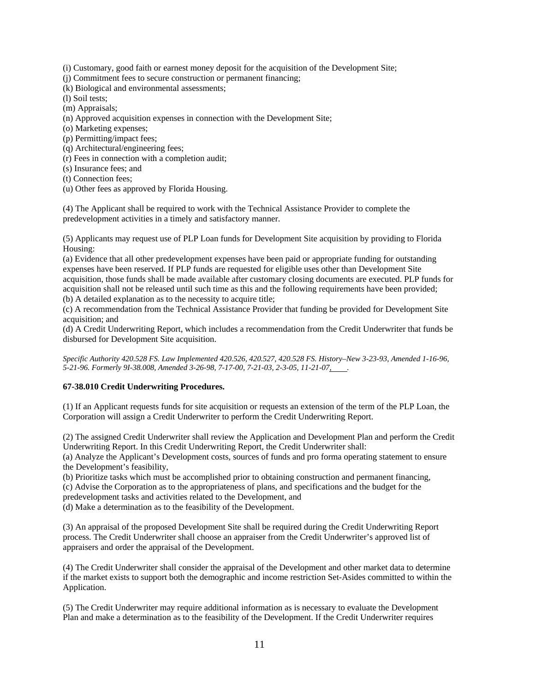(i) Customary, good faith or earnest money deposit for the acquisition of the Development Site;

(j) Commitment fees to secure construction or permanent financing;

(k) Biological and environmental assessments;

(l) Soil tests;

(m) Appraisals;

(n) Approved acquisition expenses in connection with the Development Site;

(o) Marketing expenses;

(p) Permitting/impact fees;

(q) Architectural/engineering fees;

(r) Fees in connection with a completion audit;

(s) Insurance fees; and

(t) Connection fees;

(u) Other fees as approved by Florida Housing.

(4) The Applicant shall be required to work with the Technical Assistance Provider to complete the predevelopment activities in a timely and satisfactory manner.

(5) Applicants may request use of PLP Loan funds for Development Site acquisition by providing to Florida Housing:

(a) Evidence that all other predevelopment expenses have been paid or appropriate funding for outstanding expenses have been reserved. If PLP funds are requested for eligible uses other than Development Site acquisition, those funds shall be made available after customary closing documents are executed. PLP funds for acquisition shall not be released until such time as this and the following requirements have been provided; (b) A detailed explanation as to the necessity to acquire title;

(c) A recommendation from the Technical Assistance Provider that funding be provided for Development Site acquisition; and

(d) A Credit Underwriting Report, which includes a recommendation from the Credit Underwriter that funds be disbursed for Development Site acquisition.

*Specific Authority 420.528 FS. Law Implemented 420.526, 420.527, 420.528 FS. History–New 3-23-93, Amended 1-16-96, 5-21-96. Formerly 9I-38.008, Amended 3-26-98, 7-17-00, 7-21-03, 2-3-05, 11-21-07, .* 

# **67-38.010 Credit Underwriting Procedures.**

(1) If an Applicant requests funds for site acquisition or requests an extension of the term of the PLP Loan, the Corporation will assign a Credit Underwriter to perform the Credit Underwriting Report.

(2) The assigned Credit Underwriter shall review the Application and Development Plan and perform the Credit Underwriting Report. In this Credit Underwriting Report, the Credit Underwriter shall:

(a) Analyze the Applicant's Development costs, sources of funds and pro forma operating statement to ensure the Development's feasibility,

(b) Prioritize tasks which must be accomplished prior to obtaining construction and permanent financing, (c) Advise the Corporation as to the appropriateness of plans, and specifications and the budget for the predevelopment tasks and activities related to the Development, and

(d) Make a determination as to the feasibility of the Development.

(3) An appraisal of the proposed Development Site shall be required during the Credit Underwriting Report process. The Credit Underwriter shall choose an appraiser from the Credit Underwriter's approved list of appraisers and order the appraisal of the Development.

(4) The Credit Underwriter shall consider the appraisal of the Development and other market data to determine if the market exists to support both the demographic and income restriction Set-Asides committed to within the Application.

(5) The Credit Underwriter may require additional information as is necessary to evaluate the Development Plan and make a determination as to the feasibility of the Development. If the Credit Underwriter requires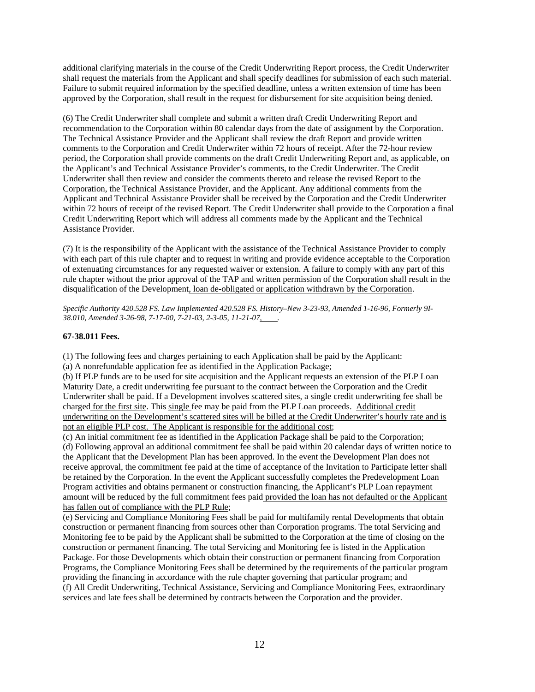additional clarifying materials in the course of the Credit Underwriting Report process, the Credit Underwriter shall request the materials from the Applicant and shall specify deadlines for submission of each such material. Failure to submit required information by the specified deadline, unless a written extension of time has been approved by the Corporation, shall result in the request for disbursement for site acquisition being denied.

(6) The Credit Underwriter shall complete and submit a written draft Credit Underwriting Report and recommendation to the Corporation within 80 calendar days from the date of assignment by the Corporation. The Technical Assistance Provider and the Applicant shall review the draft Report and provide written comments to the Corporation and Credit Underwriter within 72 hours of receipt. After the 72-hour review period, the Corporation shall provide comments on the draft Credit Underwriting Report and, as applicable, on the Applicant's and Technical Assistance Provider's comments, to the Credit Underwriter. The Credit Underwriter shall then review and consider the comments thereto and release the revised Report to the Corporation, the Technical Assistance Provider, and the Applicant. Any additional comments from the Applicant and Technical Assistance Provider shall be received by the Corporation and the Credit Underwriter within 72 hours of receipt of the revised Report. The Credit Underwriter shall provide to the Corporation a final Credit Underwriting Report which will address all comments made by the Applicant and the Technical Assistance Provider.

(7) It is the responsibility of the Applicant with the assistance of the Technical Assistance Provider to comply with each part of this rule chapter and to request in writing and provide evidence acceptable to the Corporation of extenuating circumstances for any requested waiver or extension. A failure to comply with any part of this rule chapter without the prior approval of the TAP and written permission of the Corporation shall result in the disqualification of the Development, loan de-obligated or application withdrawn by the Corporation.

*Specific Authority 420.528 FS. Law Implemented 420.528 FS. History–New 3-23-93, Amended 1-16-96, Formerly 9I-38.010, Amended 3-26-98, 7-17-00, 7-21-03, 2-3-05, 11-21-07, .* 

# **67-38.011 Fees.**

(1) The following fees and charges pertaining to each Application shall be paid by the Applicant:

(a) A nonrefundable application fee as identified in the Application Package;

(b) If PLP funds are to be used for site acquisition and the Applicant requests an extension of the PLP Loan Maturity Date, a credit underwriting fee pursuant to the contract between the Corporation and the Credit Underwriter shall be paid. If a Development involves scattered sites, a single credit underwriting fee shall be charged for the first site. This single fee may be paid from the PLP Loan proceeds. Additional credit underwriting on the Development's scattered sites will be billed at the Credit Underwriter's hourly rate and is not an eligible PLP cost. The Applicant is responsible for the additional cost;

(c) An initial commitment fee as identified in the Application Package shall be paid to the Corporation; (d) Following approval an additional commitment fee shall be paid within 20 calendar days of written notice to the Applicant that the Development Plan has been approved. In the event the Development Plan does not receive approval, the commitment fee paid at the time of acceptance of the Invitation to Participate letter shall be retained by the Corporation. In the event the Applicant successfully completes the Predevelopment Loan Program activities and obtains permanent or construction financing, the Applicant's PLP Loan repayment amount will be reduced by the full commitment fees paid provided the loan has not defaulted or the Applicant has fallen out of compliance with the PLP Rule;

(e) Servicing and Compliance Monitoring Fees shall be paid for multifamily rental Developments that obtain construction or permanent financing from sources other than Corporation programs. The total Servicing and Monitoring fee to be paid by the Applicant shall be submitted to the Corporation at the time of closing on the construction or permanent financing. The total Servicing and Monitoring fee is listed in the Application Package. For those Developments which obtain their construction or permanent financing from Corporation Programs, the Compliance Monitoring Fees shall be determined by the requirements of the particular program providing the financing in accordance with the rule chapter governing that particular program; and (f) All Credit Underwriting, Technical Assistance, Servicing and Compliance Monitoring Fees, extraordinary services and late fees shall be determined by contracts between the Corporation and the provider.